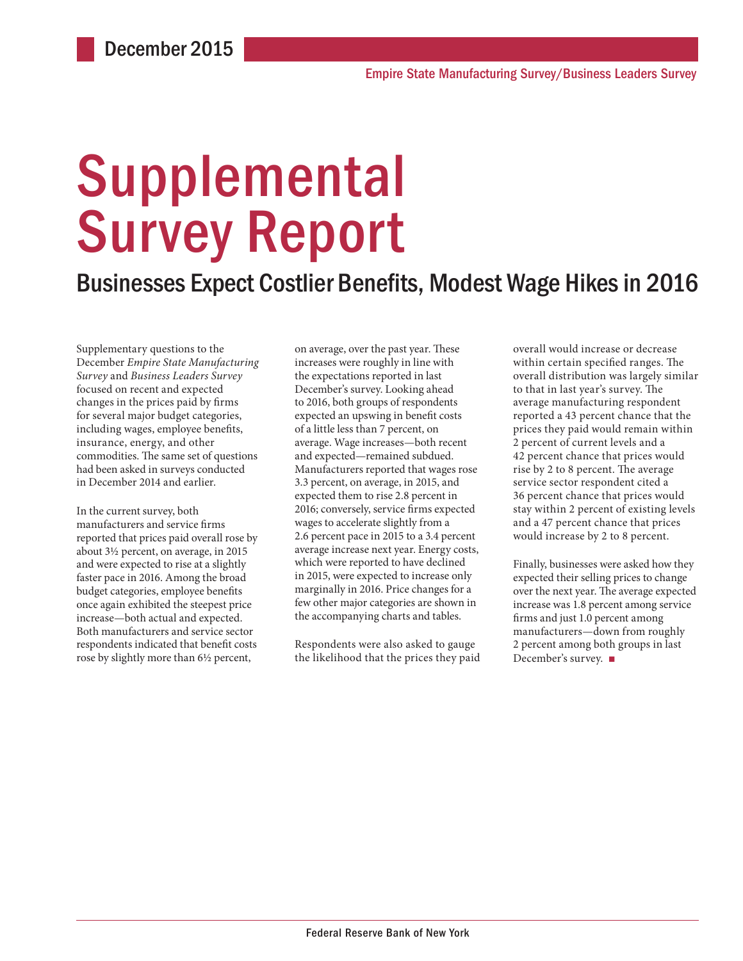# **Supplemental** Survey Report

### Businesses Expect Costlier Benefits, Modest Wage Hikes in 2016

Supplementary questions to the December *Empire State Manufacturing Survey* and *Business Leaders Survey* focused on recent and expected changes in the prices paid by firms for several major budget categories, including wages, employee benefits, insurance, energy, and other commodities. The same set of questions had been asked in surveys conducted in December 2014 and earlier.

In the current survey, both manufacturers and service firms reported that prices paid overall rose by about 3½ percent, on average, in 2015 and were expected to rise at a slightly faster pace in 2016. Among the broad budget categories, employee benefits once again exhibited the steepest price increase—both actual and expected. Both manufacturers and service sector respondents indicated that benefit costs rose by slightly more than 6½ percent,

on average, over the past year. These increases were roughly in line with the expectations reported in last December's survey. Looking ahead to 2016, both groups of respondents expected an upswing in benefit costs of a little less than 7 percent, on average. Wage increases—both recent and expected—remained subdued. Manufacturers reported that wages rose 3.3 percent, on average, in 2015, and expected them to rise 2.8 percent in 2016; conversely, service firms expected wages to accelerate slightly from a 2.6 percent pace in 2015 to a 3.4 percent average increase next year. Energy costs, which were reported to have declined in 2015, were expected to increase only marginally in 2016. Price changes for a few other major categories are shown in the accompanying charts and tables.

Respondents were also asked to gauge the likelihood that the prices they paid

overall would increase or decrease within certain specified ranges. The overall distribution was largely similar to that in last year's survey. The average manufacturing respondent reported a 43 percent chance that the prices they paid would remain within 2 percent of current levels and a 42 percent chance that prices would rise by 2 to 8 percent. The average service sector respondent cited a 36 percent chance that prices would stay within 2 percent of existing levels and a 47 percent chance that prices would increase by 2 to 8 percent.

Finally, businesses were asked how they expected their selling prices to change over the next year. The average expected increase was 1.8 percent among service firms and just 1.0 percent among manufacturers—down from roughly 2 percent among both groups in last December's survey. ■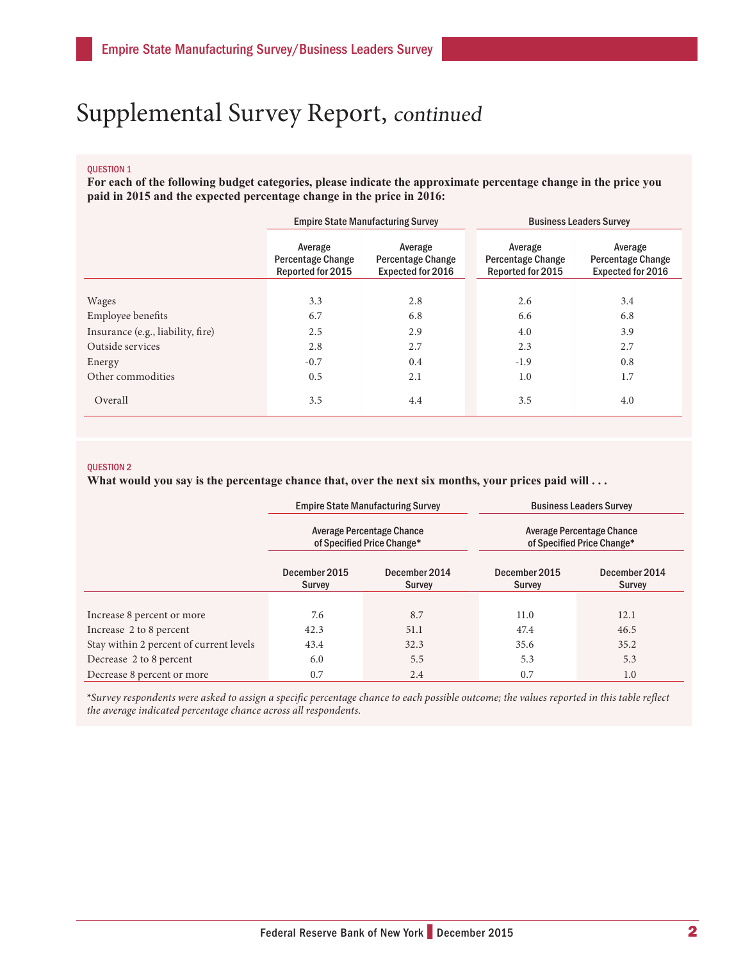## Supplemental Survey Report, continued

#### QUESTION 1

**For each of the following budget categories, please indicate the approximate percentage change in the price you paid in 2015 and the expected percentage change in the price in 2016:**

|                                   | <b>Empire State Manufacturing Survey</b>                 |                                                                 | <b>Business Leaders Survey</b>                    |                                                                 |  |
|-----------------------------------|----------------------------------------------------------|-----------------------------------------------------------------|---------------------------------------------------|-----------------------------------------------------------------|--|
|                                   | Average<br><b>Percentage Change</b><br>Reported for 2015 | Average<br><b>Percentage Change</b><br><b>Expected for 2016</b> | Average<br>Percentage Change<br>Reported for 2015 | Average<br><b>Percentage Change</b><br><b>Expected for 2016</b> |  |
|                                   |                                                          |                                                                 |                                                   |                                                                 |  |
| Wages                             | 3.3                                                      | 2.8                                                             | 2.6                                               | 3.4                                                             |  |
| Employee benefits                 | 6.7                                                      | 6.8                                                             | 6.6                                               | 6.8                                                             |  |
| Insurance (e.g., liability, fire) | 2.5                                                      | 2.9                                                             | 4.0                                               | 3.9                                                             |  |
| Outside services                  | 2.8                                                      | 2.7                                                             | 2.3                                               | 2.7                                                             |  |
| Energy                            | $-0.7$                                                   | 0.4                                                             | $-1.9$                                            | 0.8                                                             |  |
| Other commodities                 | 0.5                                                      | 2.1                                                             | 1.0                                               | 1.7                                                             |  |
| Overall                           | 3.5                                                      | 4.4                                                             | 3.5                                               | 4.0                                                             |  |

#### QUESTION 2

What would you say is the percentage chance that, over the next six months, your prices paid will . . .

|                                         | <b>Empire State Manufacturing Survey</b><br>Average Percentage Chance<br>of Specified Price Change* |                         | <b>Business Leaders Survey</b><br>Average Percentage Chance<br>of Specified Price Change* |                                |  |
|-----------------------------------------|-----------------------------------------------------------------------------------------------------|-------------------------|-------------------------------------------------------------------------------------------|--------------------------------|--|
|                                         |                                                                                                     |                         |                                                                                           |                                |  |
|                                         | December 2015<br>Survey                                                                             | December 2014<br>Survey | December 2015<br><b>Survey</b>                                                            | December 2014<br><b>Survey</b> |  |
|                                         |                                                                                                     |                         |                                                                                           |                                |  |
| Increase 8 percent or more              | 7.6                                                                                                 | 8.7                     | 11.0                                                                                      | 12.1                           |  |
| Increase 2 to 8 percent                 | 42.3                                                                                                | 51.1                    | 47.4                                                                                      | 46.5                           |  |
| Stay within 2 percent of current levels | 43.4                                                                                                | 32.3                    | 35.6                                                                                      | 35.2                           |  |
| Decrease 2 to 8 percent                 | 6.0                                                                                                 | 5.5                     | 5.3                                                                                       | 5.3                            |  |
| Decrease 8 percent or more              | 0.7                                                                                                 | 2.4                     | 0.7                                                                                       | 1.0                            |  |

\**Survey respondents were asked to assign a specific percentage chance to each possible outcome; the values reported in this table reflect the average indicated percentage chance across all respondents.*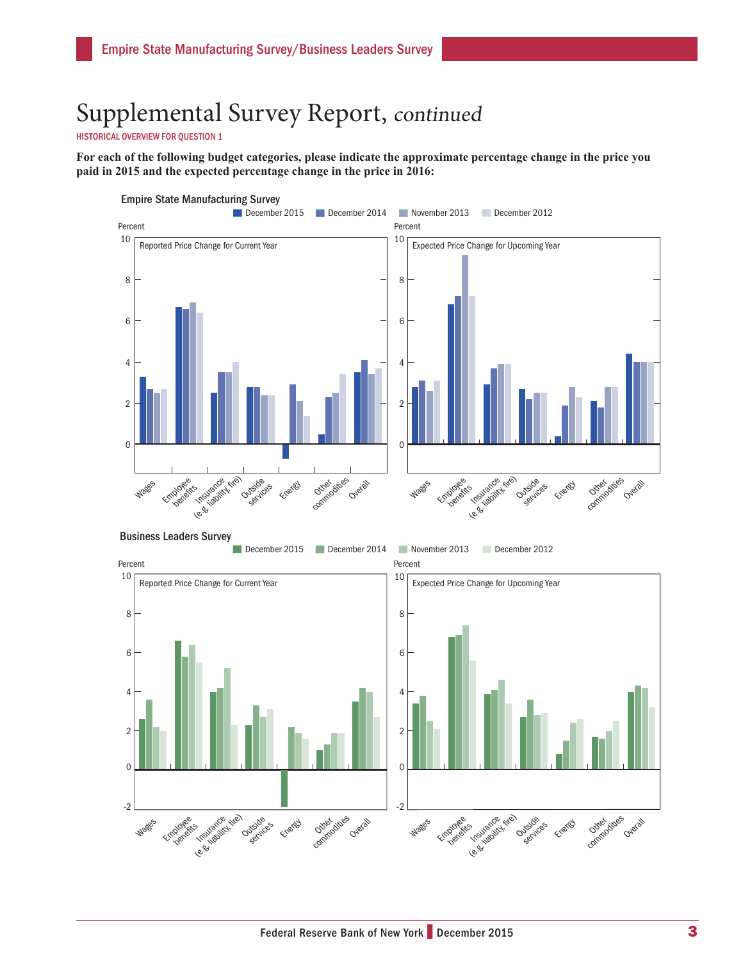## Supplemental Survey Report, continued

HISTORICAL OVERVIEW FOR QUESTION 1

**For each of the following budget categories, please indicate the approximate percentage change in the price you paid in 2015 and the expected percentage change in the price in 2016:**